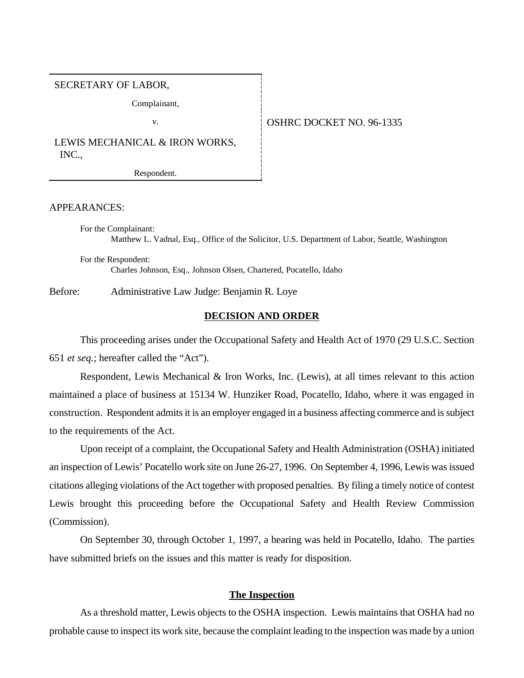#### SECRETARY OF LABOR,

Complainant,

### v. **CONFIDENT OF STARE DOCKET NO. 96-1335**

LEWIS MECHANICAL & IRON WORKS, INC.,

Respondent.

## APPEARANCES:

For the Complainant: Matthew L. Vadnal, Esq., Office of the Solicitor, U.S. Department of Labor, Seattle, Washington

For the Respondent: Charles Johnson, Esq., Johnson Olsen, Chartered, Pocatello, Idaho

Before: Administrative Law Judge: Benjamin R. Loye

### **DECISION AND ORDER**

This proceeding arises under the Occupational Safety and Health Act of 1970 (29 U.S.C. Section 651 *et seq.*; hereafter called the "Act").

Respondent, Lewis Mechanical & Iron Works, Inc. (Lewis), at all times relevant to this action maintained a place of business at 15134 W. Hunziker Road, Pocatello, Idaho, where it was engaged in construction. Respondent admits it is an employer engaged in a business affecting commerce and is subject to the requirements of the Act.

Upon receipt of a complaint, the Occupational Safety and Health Administration (OSHA) initiated an inspection of Lewis' Pocatello work site on June 26-27, 1996. On September 4, 1996, Lewis was issued citations alleging violations of the Act together with proposed penalties. By filing a timely notice of contest Lewis brought this proceeding before the Occupational Safety and Health Review Commission (Commission).

On September 30, through October 1, 1997, a hearing was held in Pocatello, Idaho. The parties have submitted briefs on the issues and this matter is ready for disposition.

# **The Inspection**

As a threshold matter, Lewis objects to the OSHA inspection. Lewis maintains that OSHA had no probable cause to inspect its work site, because the complaint leading to the inspection was made by a union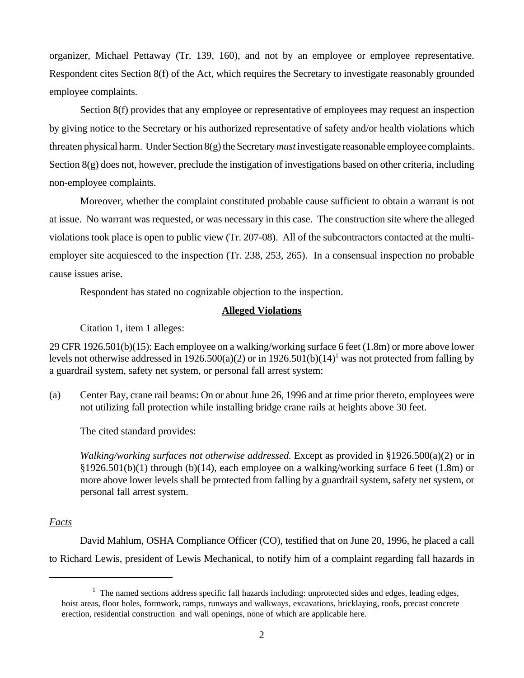organizer, Michael Pettaway (Tr. 139, 160), and not by an employee or employee representative. Respondent cites Section 8(f) of the Act, which requires the Secretary to investigate reasonably grounded employee complaints.

Section 8(f) provides that any employee or representative of employees may request an inspection by giving notice to the Secretary or his authorized representative of safety and/or health violations which threaten physical harm. Under Section 8(g) the Secretary *must* investigate reasonable employee complaints. Section 8(g) does not, however, preclude the instigation of investigations based on other criteria, including non-employee complaints.

Moreover, whether the complaint constituted probable cause sufficient to obtain a warrant is not at issue. No warrant was requested, or was necessary in this case. The construction site where the alleged violations took place is open to public view (Tr. 207-08). All of the subcontractors contacted at the multiemployer site acquiesced to the inspection (Tr. 238, 253, 265). In a consensual inspection no probable cause issues arise.

Respondent has stated no cognizable objection to the inspection.

# **Alleged Violations**

Citation 1, item 1 alleges:

29 CFR 1926.501(b)(15): Each employee on a walking/working surface 6 feet (1.8m) or more above lower levels not otherwise addressed in  $1926.500(a)(2)$  or in  $1926.501(b)(14)^1$  was not protected from falling by a guardrail system, safety net system, or personal fall arrest system:

(a) Center Bay, crane rail beams: On or about June 26, 1996 and at time prior thereto, employees were not utilizing fall protection while installing bridge crane rails at heights above 30 feet.

The cited standard provides:

*Walking/working surfaces not otherwise addressed.* Except as provided in §1926.500(a)(2) or in  $\S 1926.501(b)(1)$  through (b)(14), each employee on a walking/working surface 6 feet (1.8m) or more above lower levels shall be protected from falling by a guardrail system, safety net system, or personal fall arrest system.

# *Facts*

David Mahlum, OSHA Compliance Officer (CO), testified that on June 20, 1996, he placed a call to Richard Lewis, president of Lewis Mechanical, to notify him of a complaint regarding fall hazards in

 $1$  The named sections address specific fall hazards including: unprotected sides and edges, leading edges, hoist areas, floor holes, formwork, ramps, runways and walkways, excavations, bricklaying, roofs, precast concrete erection, residential construction and wall openings, none of which are applicable here.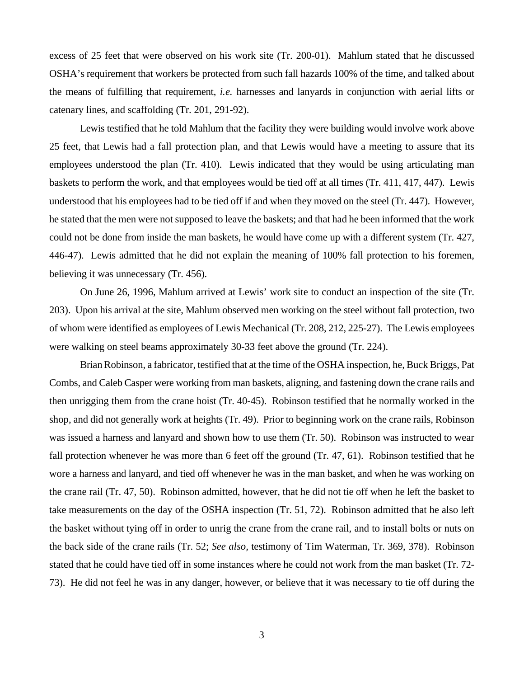excess of 25 feet that were observed on his work site (Tr. 200-01). Mahlum stated that he discussed OSHA's requirement that workers be protected from such fall hazards 100% of the time, and talked about the means of fulfilling that requirement, *i.e.* harnesses and lanyards in conjunction with aerial lifts or catenary lines, and scaffolding (Tr. 201, 291-92).

Lewis testified that he told Mahlum that the facility they were building would involve work above 25 feet, that Lewis had a fall protection plan, and that Lewis would have a meeting to assure that its employees understood the plan (Tr. 410). Lewis indicated that they would be using articulating man baskets to perform the work, and that employees would be tied off at all times (Tr. 411, 417, 447). Lewis understood that his employees had to be tied off if and when they moved on the steel (Tr. 447). However, he stated that the men were not supposed to leave the baskets; and that had he been informed that the work could not be done from inside the man baskets, he would have come up with a different system (Tr. 427, 446-47). Lewis admitted that he did not explain the meaning of 100% fall protection to his foremen, believing it was unnecessary (Tr. 456).

On June 26, 1996, Mahlum arrived at Lewis' work site to conduct an inspection of the site (Tr. 203). Upon his arrival at the site, Mahlum observed men working on the steel without fall protection, two of whom were identified as employees of Lewis Mechanical (Tr. 208, 212, 225-27). The Lewis employees were walking on steel beams approximately 30-33 feet above the ground (Tr. 224).

Brian Robinson, a fabricator, testified that at the time of the OSHA inspection, he, Buck Briggs, Pat Combs, and Caleb Casper were working from man baskets, aligning, and fastening down the crane rails and then unrigging them from the crane hoist (Tr. 40-45). Robinson testified that he normally worked in the shop, and did not generally work at heights (Tr. 49). Prior to beginning work on the crane rails, Robinson was issued a harness and lanyard and shown how to use them (Tr. 50). Robinson was instructed to wear fall protection whenever he was more than 6 feet off the ground (Tr. 47, 61). Robinson testified that he wore a harness and lanyard, and tied off whenever he was in the man basket, and when he was working on the crane rail (Tr. 47, 50). Robinson admitted, however, that he did not tie off when he left the basket to take measurements on the day of the OSHA inspection (Tr. 51, 72). Robinson admitted that he also left the basket without tying off in order to unrig the crane from the crane rail, and to install bolts or nuts on the back side of the crane rails (Tr. 52; *See also,* testimony of Tim Waterman, Tr. 369, 378). Robinson stated that he could have tied off in some instances where he could not work from the man basket (Tr. 72- 73). He did not feel he was in any danger, however, or believe that it was necessary to tie off during the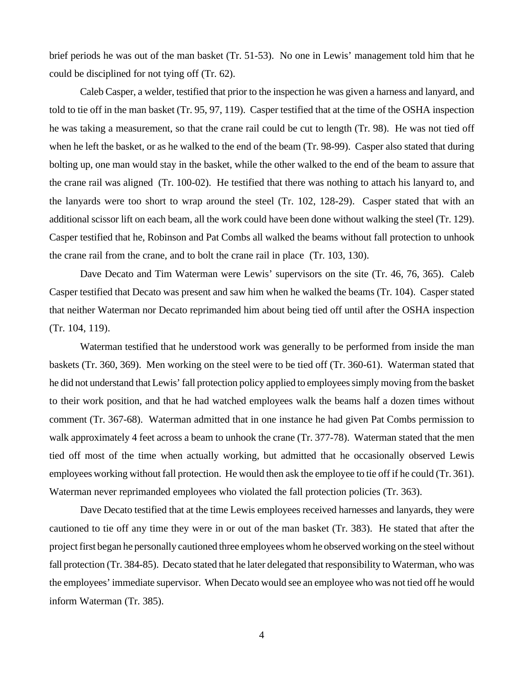brief periods he was out of the man basket (Tr. 51-53). No one in Lewis' management told him that he could be disciplined for not tying off (Tr. 62).

Caleb Casper, a welder, testified that prior to the inspection he was given a harness and lanyard, and told to tie off in the man basket (Tr. 95, 97, 119). Casper testified that at the time of the OSHA inspection he was taking a measurement, so that the crane rail could be cut to length (Tr. 98). He was not tied off when he left the basket, or as he walked to the end of the beam (Tr. 98-99). Casper also stated that during bolting up, one man would stay in the basket, while the other walked to the end of the beam to assure that the crane rail was aligned (Tr. 100-02). He testified that there was nothing to attach his lanyard to, and the lanyards were too short to wrap around the steel (Tr. 102, 128-29). Casper stated that with an additional scissor lift on each beam, all the work could have been done without walking the steel (Tr. 129). Casper testified that he, Robinson and Pat Combs all walked the beams without fall protection to unhook the crane rail from the crane, and to bolt the crane rail in place (Tr. 103, 130).

Dave Decato and Tim Waterman were Lewis' supervisors on the site (Tr. 46, 76, 365). Caleb Casper testified that Decato was present and saw him when he walked the beams (Tr. 104). Casper stated that neither Waterman nor Decato reprimanded him about being tied off until after the OSHA inspection (Tr. 104, 119).

Waterman testified that he understood work was generally to be performed from inside the man baskets (Tr. 360, 369). Men working on the steel were to be tied off (Tr. 360-61). Waterman stated that he did not understand that Lewis' fall protection policy applied to employees simply moving from the basket to their work position, and that he had watched employees walk the beams half a dozen times without comment (Tr. 367-68). Waterman admitted that in one instance he had given Pat Combs permission to walk approximately 4 feet across a beam to unhook the crane (Tr. 377-78). Waterman stated that the men tied off most of the time when actually working, but admitted that he occasionally observed Lewis employees working without fall protection. He would then ask the employee to tie off if he could (Tr. 361). Waterman never reprimanded employees who violated the fall protection policies (Tr. 363).

Dave Decato testified that at the time Lewis employees received harnesses and lanyards, they were cautioned to tie off any time they were in or out of the man basket (Tr. 383). He stated that after the project first began he personally cautioned three employees whom he observed working on the steel without fall protection (Tr. 384-85). Decato stated that he later delegated that responsibility to Waterman, who was the employees' immediate supervisor. When Decato would see an employee who was not tied off he would inform Waterman (Tr. 385).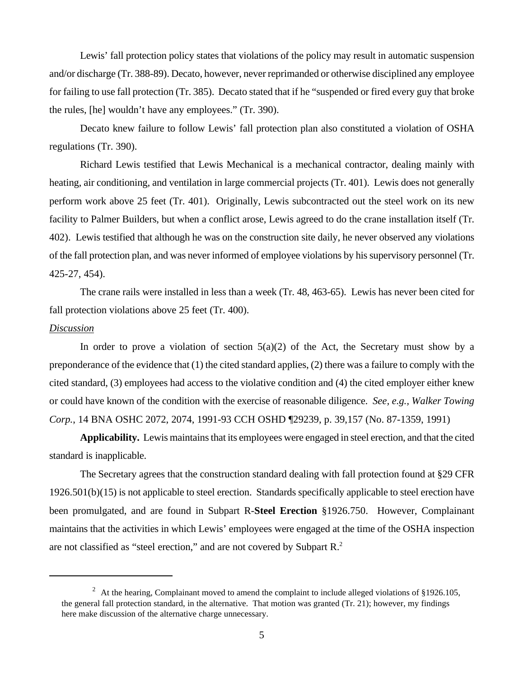Lewis' fall protection policy states that violations of the policy may result in automatic suspension and/or discharge (Tr. 388-89). Decato, however, never reprimanded or otherwise disciplined any employee for failing to use fall protection (Tr. 385). Decato stated that if he "suspended or fired every guy that broke the rules, [he] wouldn't have any employees." (Tr. 390).

Decato knew failure to follow Lewis' fall protection plan also constituted a violation of OSHA regulations (Tr. 390).

Richard Lewis testified that Lewis Mechanical is a mechanical contractor, dealing mainly with heating, air conditioning, and ventilation in large commercial projects (Tr. 401). Lewis does not generally perform work above 25 feet (Tr. 401). Originally, Lewis subcontracted out the steel work on its new facility to Palmer Builders, but when a conflict arose, Lewis agreed to do the crane installation itself (Tr. 402). Lewis testified that although he was on the construction site daily, he never observed any violations of the fall protection plan, and was never informed of employee violations by his supervisory personnel (Tr. 425-27, 454).

The crane rails were installed in less than a week (Tr. 48, 463-65). Lewis has never been cited for fall protection violations above 25 feet (Tr. 400).

#### *Discussion*

In order to prove a violation of section  $5(a)(2)$  of the Act, the Secretary must show by a preponderance of the evidence that (1) the cited standard applies, (2) there was a failure to comply with the cited standard, (3) employees had access to the violative condition and (4) the cited employer either knew or could have known of the condition with the exercise of reasonable diligence. *See, e.g., Walker Towing Corp.*, 14 BNA OSHC 2072, 2074, 1991-93 CCH OSHD ¶29239, p. 39,157 (No. 87-1359, 1991)

**Applicability.** Lewis maintains that its employees were engaged in steel erection, and that the cited standard is inapplicable.

The Secretary agrees that the construction standard dealing with fall protection found at §29 CFR 1926.501(b)(15) is not applicable to steel erection. Standards specifically applicable to steel erection have been promulgated, and are found in Subpart R-**Steel Erection** §1926.750. However, Complainant maintains that the activities in which Lewis' employees were engaged at the time of the OSHA inspection are not classified as "steel erection," and are not covered by Subpart R.<sup>2</sup>

<sup>&</sup>lt;sup>2</sup> At the hearing, Complainant moved to amend the complaint to include alleged violations of §1926.105, the general fall protection standard, in the alternative. That motion was granted (Tr. 21); however, my findings here make discussion of the alternative charge unnecessary.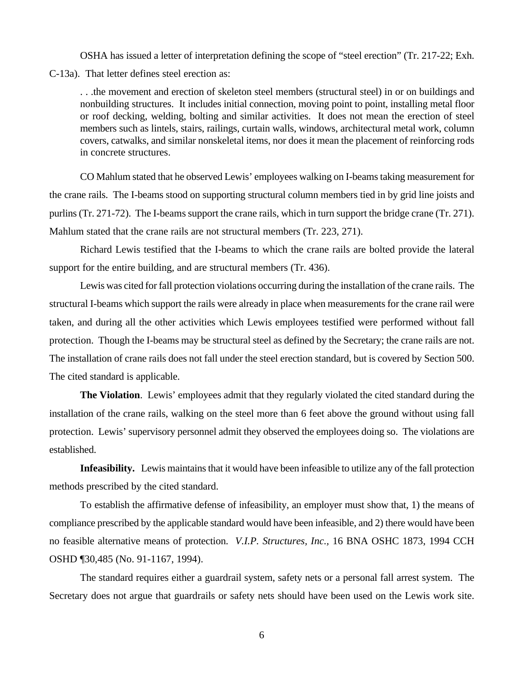OSHA has issued a letter of interpretation defining the scope of "steel erection" (Tr. 217-22; Exh.

C-13a). That letter defines steel erection as:

. . .the movement and erection of skeleton steel members (structural steel) in or on buildings and nonbuilding structures. It includes initial connection, moving point to point, installing metal floor or roof decking, welding, bolting and similar activities. It does not mean the erection of steel members such as lintels, stairs, railings, curtain walls, windows, architectural metal work, column covers, catwalks, and similar nonskeletal items, nor does it mean the placement of reinforcing rods in concrete structures.

CO Mahlum stated that he observed Lewis' employees walking on I-beams taking measurement for the crane rails. The I-beams stood on supporting structural column members tied in by grid line joists and purlins (Tr. 271-72). The I-beams support the crane rails, which in turn support the bridge crane (Tr. 271). Mahlum stated that the crane rails are not structural members (Tr. 223, 271).

Richard Lewis testified that the I-beams to which the crane rails are bolted provide the lateral support for the entire building, and are structural members (Tr. 436).

Lewis was cited for fall protection violations occurring during the installation of the crane rails. The structural I-beams which support the rails were already in place when measurements for the crane rail were taken, and during all the other activities which Lewis employees testified were performed without fall protection. Though the I-beams may be structural steel as defined by the Secretary; the crane rails are not. The installation of crane rails does not fall under the steel erection standard, but is covered by Section 500. The cited standard is applicable.

**The Violation**. Lewis' employees admit that they regularly violated the cited standard during the installation of the crane rails, walking on the steel more than 6 feet above the ground without using fall protection. Lewis' supervisory personnel admit they observed the employees doing so. The violations are established.

**Infeasibility.** Lewis maintains that it would have been infeasible to utilize any of the fall protection methods prescribed by the cited standard.

To establish the affirmative defense of infeasibility, an employer must show that, 1) the means of compliance prescribed by the applicable standard would have been infeasible, and 2) there would have been no feasible alternative means of protection. *V.I.P. Structures, Inc.,* 16 BNA OSHC 1873, 1994 CCH OSHD ¶30,485 (No. 91-1167, 1994).

The standard requires either a guardrail system, safety nets or a personal fall arrest system. The Secretary does not argue that guardrails or safety nets should have been used on the Lewis work site.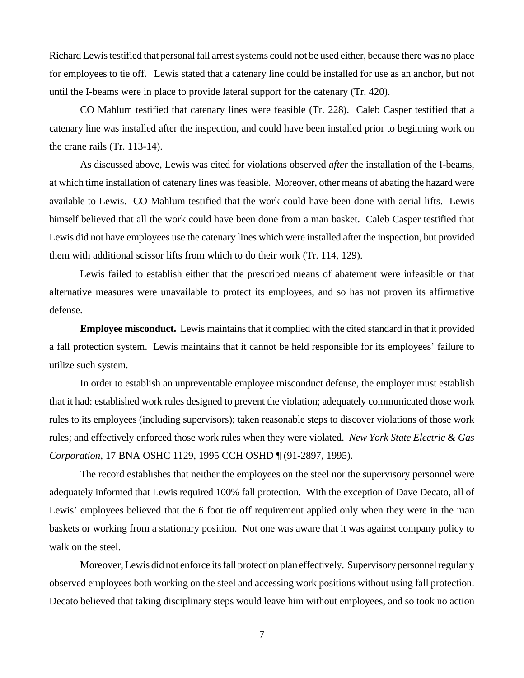Richard Lewis testified that personal fall arrest systems could not be used either, because there was no place for employees to tie off. Lewis stated that a catenary line could be installed for use as an anchor, but not until the I-beams were in place to provide lateral support for the catenary (Tr. 420).

CO Mahlum testified that catenary lines were feasible (Tr. 228). Caleb Casper testified that a catenary line was installed after the inspection, and could have been installed prior to beginning work on the crane rails (Tr. 113-14).

As discussed above, Lewis was cited for violations observed *after* the installation of the I-beams, at which time installation of catenary lines was feasible. Moreover, other means of abating the hazard were available to Lewis. CO Mahlum testified that the work could have been done with aerial lifts. Lewis himself believed that all the work could have been done from a man basket. Caleb Casper testified that Lewis did not have employees use the catenary lines which were installed after the inspection, but provided them with additional scissor lifts from which to do their work (Tr. 114, 129).

Lewis failed to establish either that the prescribed means of abatement were infeasible or that alternative measures were unavailable to protect its employees, and so has not proven its affirmative defense.

**Employee misconduct.** Lewis maintains that it complied with the cited standard in that it provided a fall protection system. Lewis maintains that it cannot be held responsible for its employees' failure to utilize such system.

In order to establish an unpreventable employee misconduct defense, the employer must establish that it had: established work rules designed to prevent the violation; adequately communicated those work rules to its employees (including supervisors); taken reasonable steps to discover violations of those work rules; and effectively enforced those work rules when they were violated. *New York State Electric & Gas Corporation*, 17 BNA OSHC 1129, 1995 CCH OSHD ¶ (91-2897, 1995).

The record establishes that neither the employees on the steel nor the supervisory personnel were adequately informed that Lewis required 100% fall protection. With the exception of Dave Decato, all of Lewis' employees believed that the 6 foot tie off requirement applied only when they were in the man baskets or working from a stationary position. Not one was aware that it was against company policy to walk on the steel.

Moreover, Lewis did not enforce its fall protection plan effectively. Supervisory personnel regularly observed employees both working on the steel and accessing work positions without using fall protection. Decato believed that taking disciplinary steps would leave him without employees, and so took no action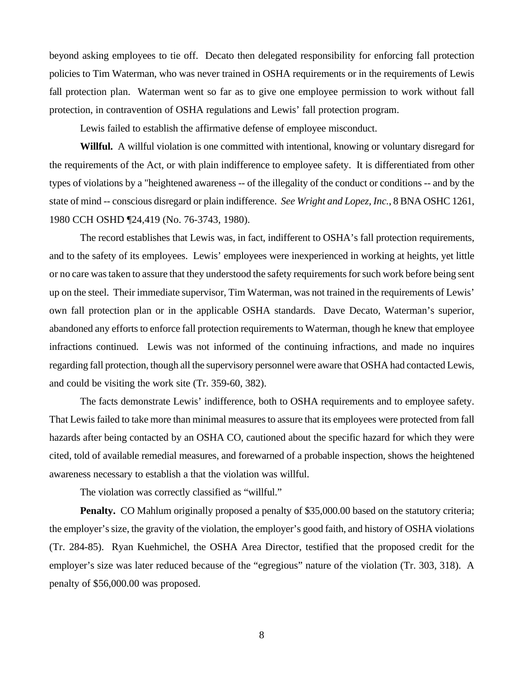beyond asking employees to tie off. Decato then delegated responsibility for enforcing fall protection policies to Tim Waterman, who was never trained in OSHA requirements or in the requirements of Lewis fall protection plan. Waterman went so far as to give one employee permission to work without fall protection, in contravention of OSHA regulations and Lewis' fall protection program.

Lewis failed to establish the affirmative defense of employee misconduct.

**Willful.** A willful violation is one committed with intentional, knowing or voluntary disregard for the requirements of the Act, or with plain indifference to employee safety. It is differentiated from other types of violations by a "heightened awareness -- of the illegality of the conduct or conditions -- and by the state of mind -- conscious disregard or plain indifference. *See Wright and Lopez, Inc.*, 8 BNA OSHC 1261, 1980 CCH OSHD ¶24,419 (No. 76-3743, 1980).

The record establishes that Lewis was, in fact, indifferent to OSHA's fall protection requirements, and to the safety of its employees. Lewis' employees were inexperienced in working at heights, yet little or no care was taken to assure that they understood the safety requirements for such work before being sent up on the steel. Their immediate supervisor, Tim Waterman, was not trained in the requirements of Lewis' own fall protection plan or in the applicable OSHA standards. Dave Decato, Waterman's superior, abandoned any efforts to enforce fall protection requirements to Waterman, though he knew that employee infractions continued. Lewis was not informed of the continuing infractions, and made no inquires regarding fall protection, though all the supervisory personnel were aware that OSHA had contacted Lewis, and could be visiting the work site (Tr. 359-60, 382).

The facts demonstrate Lewis' indifference, both to OSHA requirements and to employee safety. That Lewis failed to take more than minimal measures to assure that its employees were protected from fall hazards after being contacted by an OSHA CO, cautioned about the specific hazard for which they were cited, told of available remedial measures, and forewarned of a probable inspection, shows the heightened awareness necessary to establish a that the violation was willful.

The violation was correctly classified as "willful."

**Penalty.** CO Mahlum originally proposed a penalty of \$35,000.00 based on the statutory criteria; the employer's size, the gravity of the violation, the employer's good faith, and history of OSHA violations (Tr. 284-85). Ryan Kuehmichel, the OSHA Area Director, testified that the proposed credit for the employer's size was later reduced because of the "egregious" nature of the violation (Tr. 303, 318). A penalty of \$56,000.00 was proposed.

8